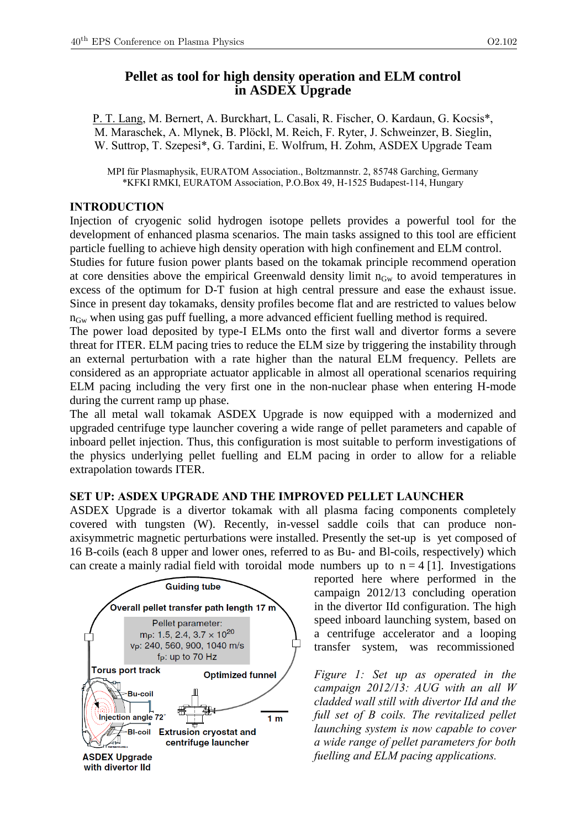# **Pellet as tool for high density operation and ELM control in ASDEX Upgrade**

P. T. Lang, M. Bernert, A. Burckhart, L. Casali, R. Fischer, O. Kardaun, G. Kocsis\*, M. Maraschek, A. Mlynek, B. Plöckl, M. Reich, F. Ryter, J. Schweinzer, B. Sieglin, W. Suttrop, T. Szepesi\*, G. Tardini, E. Wolfrum, H. Zohm, ASDEX Upgrade Team

MPI für Plasmaphysik, EURATOM Association., Boltzmannstr. 2, 85748 Garching, Germany \*KFKI RMKI, EURATOM Association, P.O.Box 49, H-1525 Budapest-114, Hungary

### **INTRODUCTION**

Injection of cryogenic solid hydrogen isotope pellets provides a powerful tool for the development of enhanced plasma scenarios. The main tasks assigned to this tool are efficient particle fuelling to achieve high density operation with high confinement and ELM control.

Studies for future fusion power plants based on the tokamak principle recommend operation at core densities above the empirical Greenwald density limit  $n_{Gw}$  to avoid temperatures in excess of the optimum for D-T fusion at high central pressure and ease the exhaust issue. Since in present day tokamaks, density profiles become flat and are restricted to values below  $n_{\text{Gw}}$  when using gas puff fuelling, a more advanced efficient fuelling method is required.

The power load deposited by type-I ELMs onto the first wall and divertor forms a severe threat for ITER. ELM pacing tries to reduce the ELM size by triggering the instability through an external perturbation with a rate higher than the natural ELM frequency. Pellets are considered as an appropriate actuator applicable in almost all operational scenarios requiring ELM pacing including the very first one in the non-nuclear phase when entering H-mode during the current ramp up phase.

The all metal wall tokamak ASDEX Upgrade is now equipped with a modernized and upgraded centrifuge type launcher covering a wide range of pellet parameters and capable of inboard pellet injection. Thus, this configuration is most suitable to perform investigations of the physics underlying pellet fuelling and ELM pacing in order to allow for a reliable extrapolation towards ITER.

# **SET UP: ASDEX UPGRADE AND THE IMPROVED PELLET LAUNCHER**

ASDEX Upgrade is a divertor tokamak with all plasma facing components completely covered with tungsten (W). Recently, in-vessel saddle coils that can produce nonaxisymmetric magnetic perturbations were installed. Presently the set-up is yet composed of 16 B-coils (each 8 upper and lower ones, referred to as Bu- and Bl-coils, respectively) which can create a mainly radial field with toroidal mode numbers up to  $n = 4$  [1]. Investigations



reported here where performed in the campaign 2012/13 concluding operation in the divertor IId configuration. The high speed inboard launching system, based on a centrifuge accelerator and a looping transfer system, was recommissioned

*Figure 1: Set up as operated in the campaign 2012/13: AUG with an all W cladded wall still with divertor IId and the full set of B coils. The revitalized pellet launching system is now capable to cover a wide range of pellet parameters for both fuelling and ELM pacing applications.*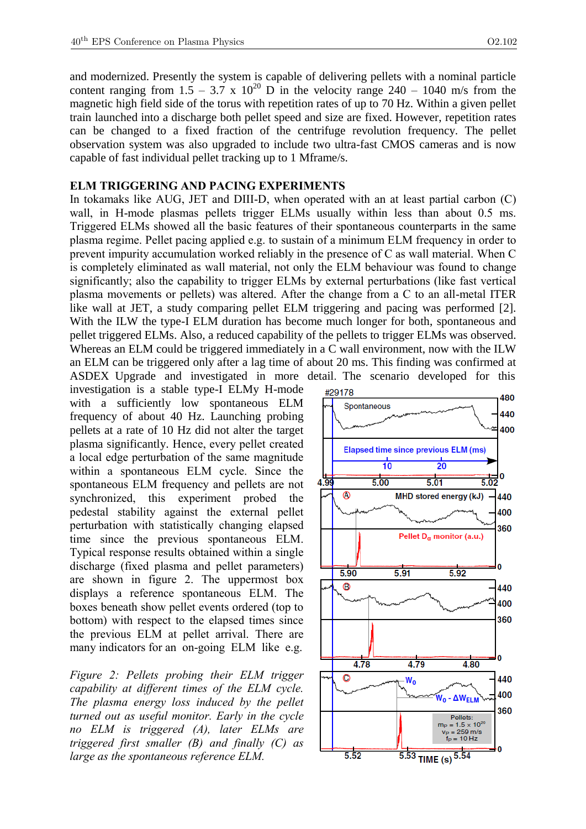and modernized. Presently the system is capable of delivering pellets with a nominal particle content ranging from 1.5 – 3.7 x  $10^{20}$  D in the velocity range 240 – 1040 m/s from the magnetic high field side of the torus with repetition rates of up to 70 Hz. Within a given pellet train launched into a discharge both pellet speed and size are fixed. However, repetition rates can be changed to a fixed fraction of the centrifuge revolution frequency. The pellet observation system was also upgraded to include two ultra-fast CMOS cameras and is now capable of fast individual pellet tracking up to 1 Mframe/s.

#### **ELM TRIGGERING AND PACING EXPERIMENTS**

In tokamaks like AUG, JET and DIII-D, when operated with an at least partial carbon (C) wall, in H-mode plasmas pellets trigger ELMs usually within less than about 0.5 ms. Triggered ELMs showed all the basic features of their spontaneous counterparts in the same plasma regime. Pellet pacing applied e.g. to sustain of a minimum ELM frequency in order to prevent impurity accumulation worked reliably in the presence of C as wall material. When C is completely eliminated as wall material, not only the ELM behaviour was found to change significantly; also the capability to trigger ELMs by external perturbations (like fast vertical plasma movements or pellets) was altered. After the change from a C to an all-metal ITER like wall at JET, a study comparing pellet ELM triggering and pacing was performed [2]. With the ILW the type-I ELM duration has become much longer for both, spontaneous and pellet triggered ELMs. Also, a reduced capability of the pellets to trigger ELMs was observed. Whereas an ELM could be triggered immediately in a C wall environment, now with the ILW an ELM can be triggered only after a lag time of about 20 ms. This finding was confirmed at ASDEX Upgrade and investigated in more detail. The scenario developed for this

investigation is a stable type-I ELMy H-mode with a sufficiently low spontaneous ELM frequency of about 40 Hz. Launching probing pellets at a rate of 10 Hz did not alter the target plasma significantly. Hence, every pellet created a local edge perturbation of the same magnitude within a spontaneous ELM cycle. Since the spontaneous ELM frequency and pellets are not synchronized, this experiment probed the pedestal stability against the external pellet perturbation with statistically changing elapsed time since the previous spontaneous ELM. Typical response results obtained within a single discharge (fixed plasma and pellet parameters) are shown in figure 2. The uppermost box displays a reference spontaneous ELM. The boxes beneath show pellet events ordered (top to bottom) with respect to the elapsed times since the previous ELM at pellet arrival. There are many indicators for an on-going ELM like e.g.

*Figure 2: Pellets probing their ELM trigger capability at different times of the ELM cycle. The plasma energy loss induced by the pellet turned out as useful monitor. Early in the cycle no ELM is triggered (A), later ELMs are triggered first smaller (B) and finally (C) as large as the spontaneous reference ELM.*

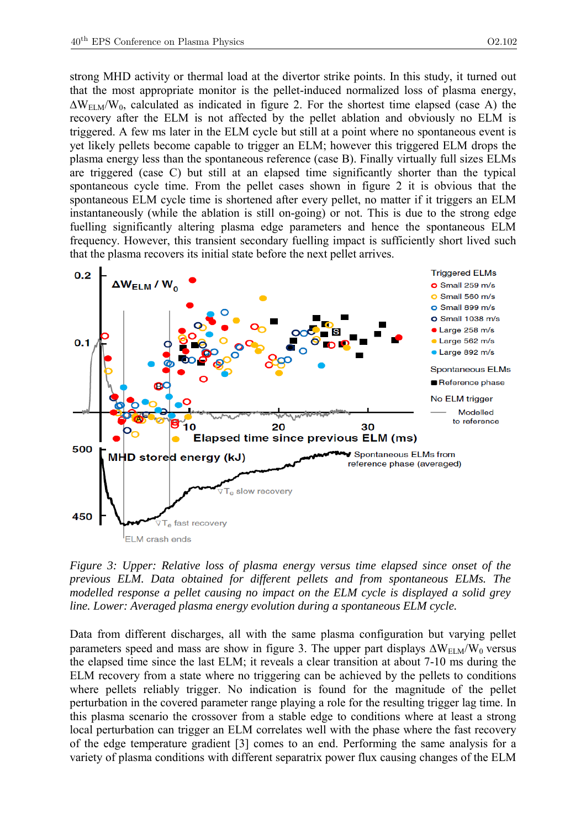strong MHD activity or thermal load at the divertor strike points. In this study, it turned out that the most appropriate monitor is the pellet-induced normalized loss of plasma energy,  $\Delta W_{ELM}/W_0$ , calculated as indicated in figure 2. For the shortest time elapsed (case A) the recovery after the ELM is not affected by the pellet ablation and obviously no ELM is triggered. A few ms later in the ELM cycle but still at a point where no spontaneous event is yet likely pellets become capable to trigger an ELM; however this triggered ELM drops the plasma energy less than the spontaneous reference (case B). Finally virtually full sizes ELMs are triggered (case C) but still at an elapsed time significantly shorter than the typical spontaneous cycle time. From the pellet cases shown in figure 2 it is obvious that the spontaneous ELM cycle time is shortened after every pellet, no matter if it triggers an ELM instantaneously (while the ablation is still on-going) or not. This is due to the strong edge fuelling significantly altering plasma edge parameters and hence the spontaneous ELM frequency. However, this transient secondary fuelling impact is sufficiently short lived such that the plasma recovers its initial state before the next pellet arrives.



*Figure 3: Upper: Relative loss of plasma energy versus time elapsed since onset of the previous ELM. Data obtained for different pellets and from spontaneous ELMs. The modelled response a pellet causing no impact on the ELM cycle is displayed a solid grey line. Lower: Averaged plasma energy evolution during a spontaneous ELM cycle.*

Data from different discharges, all with the same plasma configuration but varying pellet parameters speed and mass are show in figure 3. The upper part displays  $\Delta W_{ELM}/W_0$  versus the elapsed time since the last ELM; it reveals a clear transition at about 7-10 ms during the ELM recovery from a state where no triggering can be achieved by the pellets to conditions where pellets reliably trigger. No indication is found for the magnitude of the pellet perturbation in the covered parameter range playing a role for the resulting trigger lag time. In this plasma scenario the crossover from a stable edge to conditions where at least a strong local perturbation can trigger an ELM correlates well with the phase where the fast recovery of the edge temperature gradient [3] comes to an end. Performing the same analysis for a variety of plasma conditions with different separatrix power flux causing changes of the ELM